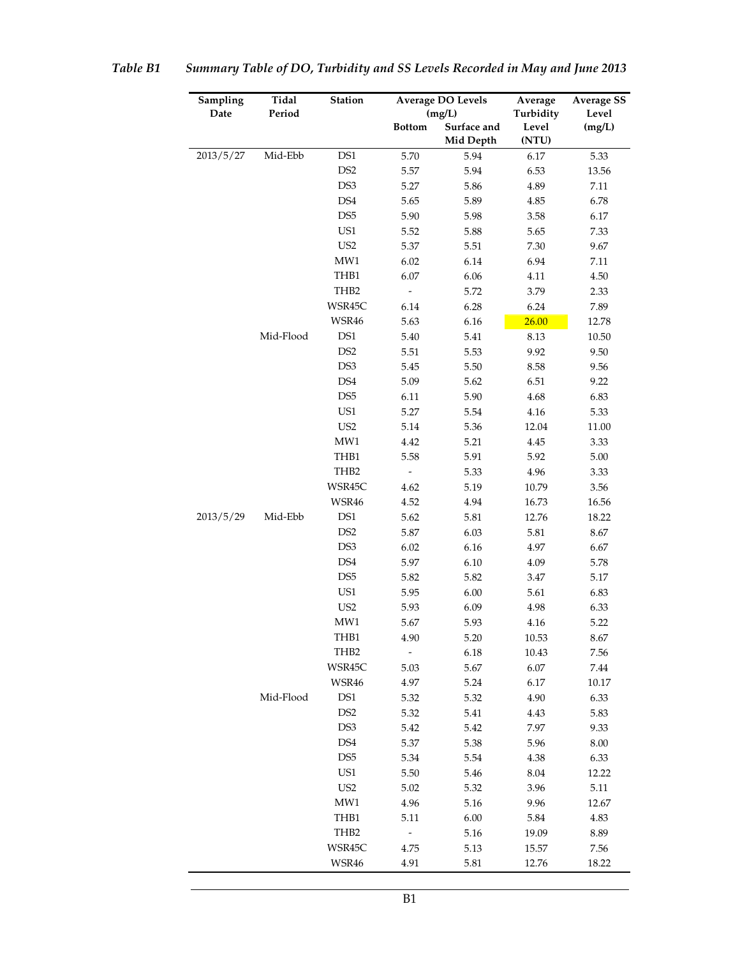| Sampling  | Tidal     | Station          | <b>Average DO Levels</b> |                          | Average        | <b>Average SS</b> |
|-----------|-----------|------------------|--------------------------|--------------------------|----------------|-------------------|
| Date      | Period    |                  |                          | (mg/L)                   | Turbidity      | Level             |
|           |           |                  | <b>Bottom</b>            | Surface and<br>Mid Depth | Level<br>(NTU) | (mg/L)            |
| 2013/5/27 | Mid-Ebb   | DS1              | 5.70                     | 5.94                     | 6.17           | 5.33              |
|           |           | DS <sub>2</sub>  | 5.57                     | 5.94                     | 6.53           | 13.56             |
|           |           | DS3              | 5.27                     | 5.86                     | 4.89           | 7.11              |
|           |           | DS4              | 5.65                     | 5.89                     | 4.85           | 6.78              |
|           |           | DS <sub>5</sub>  | 5.90                     | 5.98                     | 3.58           | 6.17              |
|           |           | US1              | 5.52                     | 5.88                     | 5.65           | 7.33              |
|           |           | US <sub>2</sub>  | 5.37                     | 5.51                     | 7.30           | 9.67              |
|           |           | MW1              | 6.02                     | 6.14                     | 6.94           | 7.11              |
|           |           | THB1             | 6.07                     | 6.06                     | 4.11           | 4.50              |
|           |           | TH <sub>B2</sub> | $\overline{\phantom{a}}$ | 5.72                     | 3.79           | 2.33              |
|           |           | WSR45C           | 6.14                     | 6.28                     | 6.24           | 7.89              |
|           |           | WSR46            | 5.63                     | 6.16                     | 26.00          | 12.78             |
|           | Mid-Flood | DS1              | 5.40                     | 5.41                     | 8.13           | 10.50             |
|           |           | DS <sub>2</sub>  | 5.51                     | 5.53                     | 9.92           | 9.50              |
|           |           | DS3              | 5.45                     | 5.50                     | 8.58           | 9.56              |
|           |           | DS4              | 5.09                     | 5.62                     | 6.51           | 9.22              |
|           |           | DS <sub>5</sub>  | 6.11                     | 5.90                     | 4.68           | 6.83              |
|           |           | US1              | 5.27                     | 5.54                     | 4.16           | 5.33              |
|           |           | US <sub>2</sub>  | 5.14                     | 5.36                     | 12.04          | 11.00             |
|           |           | MW1              | 4.42                     | 5.21                     | 4.45           | 3.33              |
|           |           | THB1             | 5.58                     | 5.91                     | 5.92           | 5.00              |
|           |           | THB <sub>2</sub> | $\frac{1}{2}$            | 5.33                     | 4.96           | 3.33              |
|           |           | WSR45C           | 4.62                     | 5.19                     | 10.79          | 3.56              |
|           |           | WSR46            | 4.52                     | 4.94                     | 16.73          | 16.56             |
| 2013/5/29 | Mid-Ebb   | DS1              | 5.62                     | 5.81                     | 12.76          | 18.22             |
|           |           | DS <sub>2</sub>  | 5.87                     | 6.03                     | 5.81           | 8.67              |
|           |           | DS3              | 6.02                     | 6.16                     | 4.97           | 6.67              |
|           |           | DS4              | 5.97                     | 6.10                     | 4.09           | 5.78              |
|           |           | DS <sub>5</sub>  | 5.82                     | 5.82                     | 3.47           | 5.17              |
|           |           | US1              | 5.95                     | 6.00                     | 5.61           | 6.83              |
|           |           | US <sub>2</sub>  | 5.93                     | 6.09                     | 4.98           | 6.33              |
|           |           | MW1              | 5.67                     | 5.93                     | 4.16           | 5.22              |
|           |           | THB1             | 4.90                     | 5.20                     | 10.53          | 8.67              |
|           |           | THB2             |                          | 6.18                     | 10.43          | 7.56              |
|           |           | WSR45C           | 5.03                     | 5.67                     | 6.07           | 7.44              |
|           |           | WSR46            | 4.97                     | 5.24                     | 6.17           | 10.17             |
|           | Mid-Flood | DS1              | 5.32                     | 5.32                     | 4.90           | 6.33              |
|           |           | DS <sub>2</sub>  | 5.32                     | 5.41                     | 4.43           | 5.83              |
|           |           | DS3              | 5.42                     | 5.42                     | 7.97           | 9.33              |
|           |           | DS4              | 5.37                     | 5.38                     | 5.96           | $8.00\,$          |
|           |           | DS <sub>5</sub>  | 5.34                     | 5.54                     | 4.38           | 6.33              |
|           |           | US1              | 5.50                     | 5.46                     | 8.04           | 12.22             |
|           |           | US <sub>2</sub>  | $5.02\,$                 | 5.32                     | 3.96           | 5.11              |
|           |           | MW1              | 4.96                     | 5.16                     | 9.96           | 12.67             |
|           |           | THB1             | 5.11                     | 6.00                     | 5.84           | 4.83              |
|           |           | THB2             | $\qquad \qquad -$        | 5.16                     | 19.09          | 8.89              |
|           |           | WSR45C           | 4.75                     | 5.13                     | 15.57          | 7.56              |
|           |           | WSR46            | 4.91                     | 5.81                     | 12.76          | 18.22             |

| Table B1 |  | Summary Table of DO, Turbidity and SS Levels Recorded in May and June 2013 |
|----------|--|----------------------------------------------------------------------------|
|          |  |                                                                            |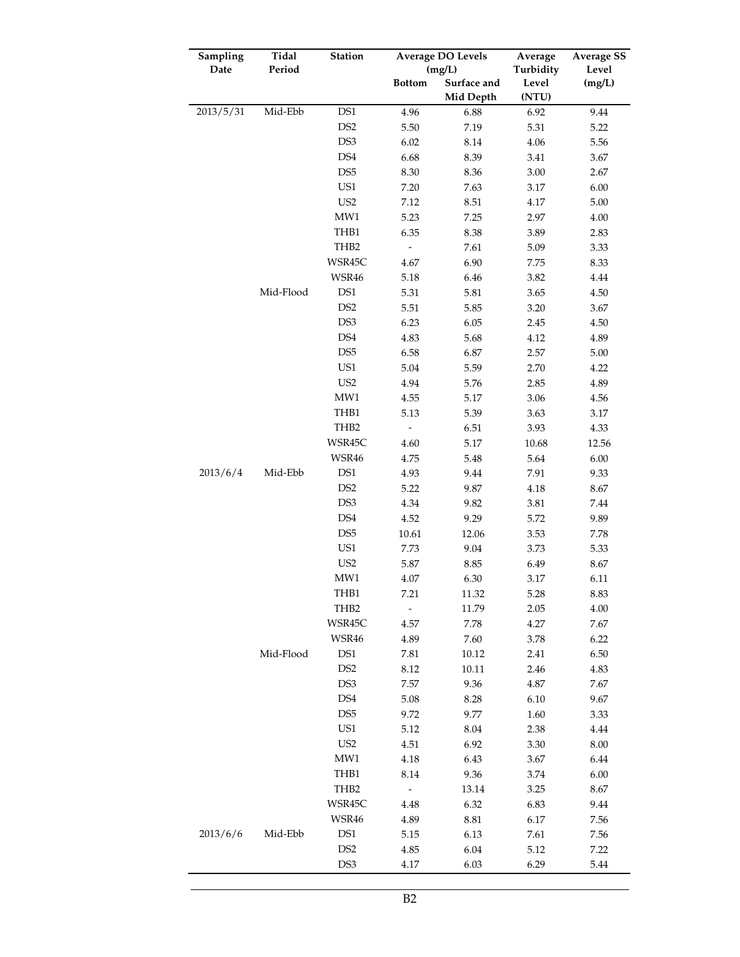| Sampling  | Tidal     | Station          | <b>Average DO Levels</b> |                          | Average        | <b>Average SS</b> |
|-----------|-----------|------------------|--------------------------|--------------------------|----------------|-------------------|
| Date      | Period    |                  |                          | (mg/L)                   | Turbidity      | Level             |
|           |           |                  | <b>Bottom</b>            | Surface and<br>Mid Depth | Level<br>(NTU) | (mg/L)            |
| 2013/5/31 | Mid-Ebb   | DS1              | 4.96                     | 6.88                     | 6.92           | 9.44              |
|           |           | DS <sub>2</sub>  | 5.50                     | 7.19                     | 5.31           | 5.22              |
|           |           | DS3              | 6.02                     | 8.14                     | 4.06           | 5.56              |
|           |           | DS4              | 6.68                     | 8.39                     | 3.41           | 3.67              |
|           |           | DS <sub>5</sub>  | 8.30                     | 8.36                     | 3.00           | 2.67              |
|           |           | US1              | 7.20                     | 7.63                     | 3.17           | 6.00              |
|           |           | US <sub>2</sub>  | 7.12                     | 8.51                     | 4.17           | 5.00              |
|           |           | MW1              | 5.23                     | 7.25                     | 2.97           | $4.00\,$          |
|           |           | THB1             | 6.35                     | 8.38                     | 3.89           | 2.83              |
|           |           | THB <sub>2</sub> | $\overline{\phantom{0}}$ | 7.61                     | 5.09           | 3.33              |
|           |           | WSR45C           | 4.67                     | 6.90                     | 7.75           | 8.33              |
|           |           | WSR46            | 5.18                     | 6.46                     | 3.82           | 4.44              |
|           | Mid-Flood | DS <sub>1</sub>  | 5.31                     | 5.81                     | 3.65           | 4.50              |
|           |           | DS <sub>2</sub>  | 5.51                     | 5.85                     | 3.20           | 3.67              |
|           |           | DS3              | 6.23                     | 6.05                     | 2.45           | 4.50              |
|           |           | DS4              | 4.83                     | 5.68                     | 4.12           | 4.89              |
|           |           | DS <sub>5</sub>  | 6.58                     | 6.87                     | 2.57           | 5.00              |
|           |           | US1              | 5.04                     | 5.59                     | 2.70           | 4.22              |
|           |           | US <sub>2</sub>  | 4.94                     | 5.76                     | 2.85           | 4.89              |
|           |           | MW1              | 4.55                     | 5.17                     | 3.06           | 4.56              |
|           |           | THB1             | 5.13                     | 5.39                     | 3.63           | 3.17              |
|           |           | THB2             |                          | 6.51                     | 3.93           | 4.33              |
|           |           | WSR45C           | 4.60                     | 5.17                     | 10.68          | 12.56             |
|           |           | WSR46            | 4.75                     | 5.48                     | 5.64           | 6.00              |
| 2013/6/4  | Mid-Ebb   | DS1              | 4.93                     | 9.44                     | 7.91           | 9.33              |
|           |           | DS <sub>2</sub>  | 5.22                     | 9.87                     | 4.18           | 8.67              |
|           |           | DS3              | 4.34                     | 9.82                     | 3.81           | 7.44              |
|           |           | DS4              | 4.52                     | 9.29                     | 5.72           | 9.89              |
|           |           | DS <sub>5</sub>  | 10.61                    | 12.06                    | 3.53           | 7.78              |
|           |           | US1              | 7.73                     | 9.04                     | 3.73           | 5.33              |
|           |           | US <sub>2</sub>  | 5.87                     | 8.85                     | 6.49           | 8.67              |
|           |           | MW1              | 4.07                     | 6.30                     | 3.17           | 6.11              |
|           |           | THB1             | 7.21                     | 11.32                    | 5.28           | 8.83              |
|           |           | THB2             |                          | 11.79                    | 2.05           | 4.00              |
|           |           | WSR45C           | 4.57                     | 7.78                     | 4.27           | 7.67              |
|           |           | WSR46            | 4.89                     | 7.60                     | 3.78           | 6.22              |
|           | Mid-Flood | DS1              | 7.81                     | 10.12                    | 2.41           | 6.50              |
|           |           | DS <sub>2</sub>  | 8.12                     | 10.11                    | 2.46           | 4.83              |
|           |           | DS3              | 7.57                     | 9.36                     | 4.87           | 7.67              |
|           |           | DS4              | 5.08                     | 8.28                     | 6.10           | 9.67              |
|           |           | DS <sub>5</sub>  | 9.72                     | 9.77                     | 1.60           | 3.33              |
|           |           | US1              | 5.12                     | 8.04                     | 2.38           | 4.44              |
|           |           | US <sub>2</sub>  | 4.51                     | 6.92                     | 3.30           | $8.00\,$          |
|           |           | MW1              | 4.18                     | 6.43                     | 3.67           | 6.44              |
|           |           | THB1             | 8.14                     | 9.36                     | 3.74           | 6.00              |
|           |           | THB <sub>2</sub> |                          | 13.14                    | 3.25           | 8.67              |
|           |           | WSR45C           | 4.48                     | 6.32                     | 6.83           | 9.44              |
|           |           | WSR46            | 4.89                     | $8.81\,$                 | 6.17           | 7.56              |
| 2013/6/6  | Mid-Ebb   | DS <sub>1</sub>  | 5.15                     | 6.13                     | 7.61           | 7.56              |
|           |           | DS <sub>2</sub>  | 4.85                     | 6.04                     | 5.12           | 7.22              |
|           |           | DS3              | 4.17                     | 6.03                     | 6.29           | 5.44              |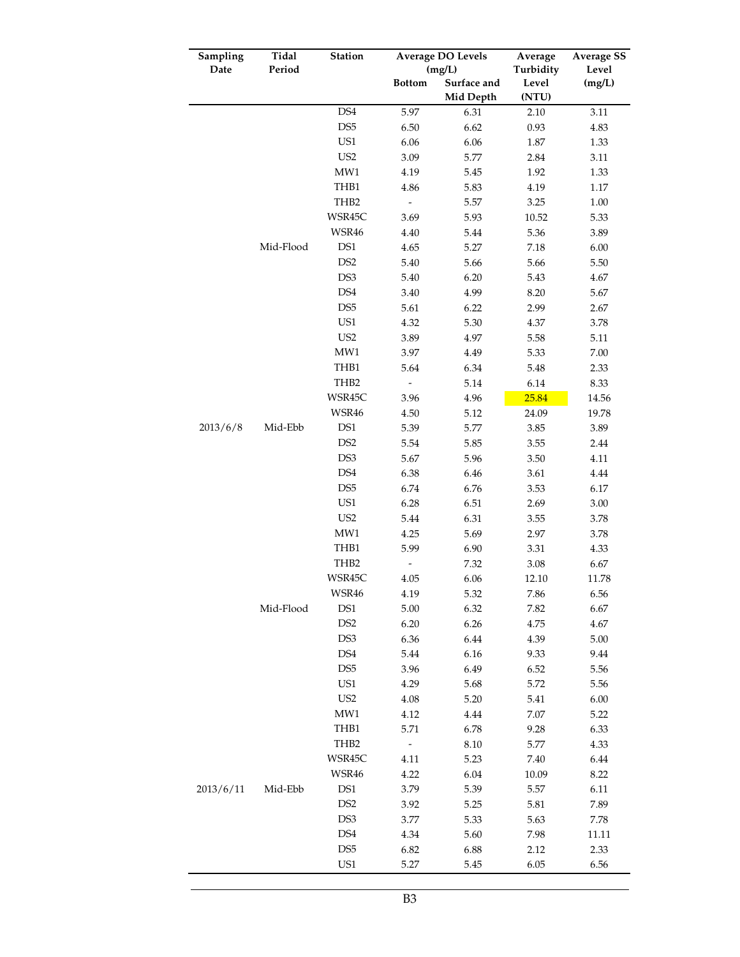| Sampling  | Tidal     | Station         | <b>Average DO Levels</b> |             | Average   | <b>Average SS</b> |
|-----------|-----------|-----------------|--------------------------|-------------|-----------|-------------------|
| Date      | Period    |                 |                          | (mg/L)      | Turbidity | Level             |
|           |           |                 | <b>Bottom</b>            | Surface and | Level     | (mg/L)            |
|           |           | DS4             |                          | Mid Depth   | (NTU)     |                   |
|           |           | DS <sub>5</sub> | 5.97                     | 6.31        | 2.10      | 3.11              |
|           |           | US1             | 6.50                     | 6.62        | 0.93      | 4.83              |
|           |           | US <sub>2</sub> | 6.06                     | 6.06        | 1.87      | 1.33              |
|           |           | MW1             | 3.09                     | 5.77        | 2.84      | 3.11              |
|           |           |                 | 4.19                     | 5.45        | 1.92      | 1.33              |
|           |           | THB1            | 4.86                     | 5.83        | 4.19      | $1.17\,$          |
|           |           | THB2            | $\qquad \qquad -$        | 5.57        | 3.25      | 1.00              |
|           |           | WSR45C          | 3.69                     | 5.93        | 10.52     | 5.33              |
|           |           | WSR46           | 4.40                     | 5.44        | 5.36      | 3.89              |
|           | Mid-Flood | DS1             | 4.65                     | 5.27        | 7.18      | 6.00              |
|           |           | DS <sub>2</sub> | 5.40                     | 5.66        | 5.66      | 5.50              |
|           |           | DS3             | 5.40                     | 6.20        | 5.43      | 4.67              |
|           |           | DS4             | 3.40                     | 4.99        | 8.20      | 5.67              |
|           |           | DS <sub>5</sub> | 5.61                     | 6.22        | 2.99      | 2.67              |
|           |           | US1             | 4.32                     | 5.30        | 4.37      | 3.78              |
|           |           | US <sub>2</sub> | 3.89                     | 4.97        | 5.58      | 5.11              |
|           |           | MW1             | 3.97                     | 4.49        | 5.33      | 7.00              |
|           |           | THB1            | 5.64                     | 6.34        | 5.48      | 2.33              |
|           |           | THB2            |                          | 5.14        | 6.14      | 8.33              |
|           |           | WSR45C          | 3.96                     | 4.96        | 25.84     | 14.56             |
|           |           | WSR46           | 4.50                     | 5.12        | 24.09     | 19.78             |
| 2013/6/8  | Mid-Ebb   | DS1             | 5.39                     | 5.77        | 3.85      | 3.89              |
|           |           | DS <sub>2</sub> | 5.54                     | 5.85        | 3.55      | 2.44              |
|           |           | DS3             | 5.67                     | 5.96        | 3.50      | 4.11              |
|           |           | DS4             | 6.38                     | 6.46        | 3.61      | 4.44              |
|           |           | DS <sub>5</sub> | 6.74                     | 6.76        | 3.53      | 6.17              |
|           |           | US1             | 6.28                     | 6.51        | 2.69      | $3.00\,$          |
|           |           | US <sub>2</sub> | 5.44                     | 6.31        | 3.55      | 3.78              |
|           |           | MW1             | 4.25                     | 5.69        | 2.97      | 3.78              |
|           |           | THB1            | 5.99                     | 6.90        | 3.31      | 4.33              |
|           |           | THB2            |                          | 7.32        | 3.08      | 6.67              |
|           |           | WSR45C          | 4.05                     | 6.06        | 12.10     | 11.78             |
|           |           | <b>WSR46</b>    | 4.19                     | 5.32        | 7.86      | 6.56              |
|           | Mid-Flood | DS1             | 5.00                     | 6.32        | 7.82      | 6.67              |
|           |           | DS <sub>2</sub> | 6.20                     | 6.26        | 4.75      | 4.67              |
|           |           | DS3             | 6.36                     | 6.44        | 4.39      | 5.00              |
|           |           | DS <sub>4</sub> | 5.44                     | 6.16        | 9.33      | 9.44              |
|           |           | DS <sub>5</sub> | 3.96                     | 6.49        | 6.52      | 5.56              |
|           |           | US1             | 4.29                     | 5.68        | 5.72      | 5.56              |
|           |           | US <sub>2</sub> | 4.08                     | 5.20        | 5.41      | 6.00              |
|           |           | MW1             | 4.12                     | 4.44        | $7.07\,$  | 5.22              |
|           |           | THB1            | 5.71                     | 6.78        | 9.28      | 6.33              |
|           |           | THB2            | $\overline{\phantom{0}}$ | 8.10        | 5.77      | 4.33              |
|           |           | WSR45C          | 4.11                     | 5.23        | 7.40      | 6.44              |
|           |           | WSR46           | 4.22                     | 6.04        | 10.09     | 8.22              |
| 2013/6/11 | Mid-Ebb   | DS1             | 3.79                     | 5.39        | 5.57      | 6.11              |
|           |           | DS <sub>2</sub> | 3.92                     | 5.25        | 5.81      | 7.89              |
|           |           | DS <sub>3</sub> | 3.77                     | 5.33        | 5.63      | 7.78              |
|           |           | DS4             | 4.34                     | 5.60        | 7.98      | 11.11             |
|           |           | DS <sub>5</sub> | 6.82                     | 6.88        | 2.12      | 2.33              |
|           |           | US1             | 5.27                     | 5.45        | 6.05      | 6.56              |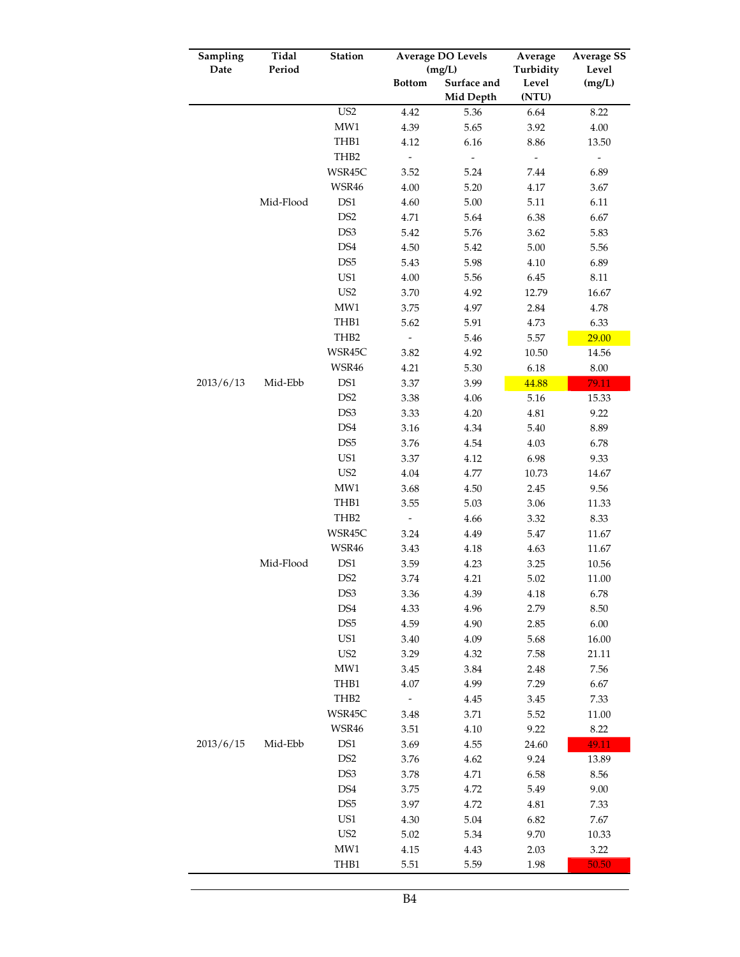| Sampling  | Tidal     | Station                | <b>Average DO Levels</b> |              | Average                          | <b>Average SS</b>                |
|-----------|-----------|------------------------|--------------------------|--------------|----------------------------------|----------------------------------|
| Date      | Period    |                        |                          | (mg/L)       | Turbidity                        | Level                            |
|           |           |                        | <b>Bottom</b>            | Surface and  | Level                            | (mg/L)                           |
|           |           | US <sub>2</sub>        |                          | Mid Depth    | (NTU)                            |                                  |
|           |           | MW1                    | 4.42<br>4.39             | 5.36<br>5.65 | 6.64                             | 8.22<br>$4.00\,$                 |
|           |           | THB1                   | 4.12                     |              | 3.92                             |                                  |
|           |           | THB <sub>2</sub>       | $\overline{\phantom{0}}$ | 6.16         | 8.86                             | 13.50                            |
|           |           | WSR45C                 | 3.52                     | 5.24         | $\overline{\phantom{m}}$<br>7.44 | $\overline{\phantom{a}}$<br>6.89 |
|           |           | WSR46                  |                          |              |                                  |                                  |
|           | Mid-Flood | DS1                    | 4.00<br>4.60             | 5.20<br>5.00 | 4.17                             | 3.67<br>6.11                     |
|           |           | DS <sub>2</sub>        | 4.71                     | 5.64         | 5.11<br>6.38                     | 6.67                             |
|           |           | DS3                    | 5.42                     | 5.76         | 3.62                             | 5.83                             |
|           |           | DS4                    | 4.50                     | 5.42         | 5.00                             | 5.56                             |
|           |           | DS <sub>5</sub>        |                          | 5.98         |                                  | 6.89                             |
|           |           | US1                    | 5.43<br>4.00             | 5.56         | 4.10                             | 8.11                             |
|           |           | US <sub>2</sub>        | 3.70                     |              | 6.45                             |                                  |
|           |           | MW1                    | 3.75                     | 4.92<br>4.97 | 12.79                            | 16.67<br>4.78                    |
|           |           | THB1                   | 5.62                     | 5.91         | 2.84<br>4.73                     | 6.33                             |
|           |           | THB <sub>2</sub>       | -                        |              |                                  |                                  |
|           |           | WSR45C                 |                          | 5.46         | 5.57                             | 29.00                            |
|           |           |                        | 3.82                     | 4.92         | 10.50                            | 14.56                            |
| 2013/6/13 |           | WSR46                  | 4.21                     | 5.30         | 6.18                             | 8.00                             |
|           | Mid-Ebb   | DS1<br>DS <sub>2</sub> | 3.37                     | 3.99         | 44.88                            | 79.11                            |
|           |           |                        | 3.38                     | 4.06         | 5.16                             | 15.33                            |
|           |           | DS3                    | 3.33                     | 4.20         | 4.81                             | 9.22                             |
|           |           | DS4                    | 3.16                     | 4.34         | 5.40                             | 8.89                             |
|           |           | DS <sub>5</sub>        | 3.76                     | 4.54         | 4.03                             | 6.78                             |
|           |           | US1                    | 3.37                     | 4.12         | 6.98                             | 9.33                             |
|           |           | US <sub>2</sub>        | 4.04                     | 4.77         | 10.73                            | 14.67                            |
|           |           | MW1                    | 3.68                     | 4.50         | 2.45                             | 9.56                             |
|           |           | THB1                   | 3.55                     | 5.03         | 3.06                             | 11.33                            |
|           |           | THB2                   | $\overline{\phantom{0}}$ | 4.66         | 3.32                             | 8.33                             |
|           |           | WSR45C                 | 3.24                     | 4.49         | 5.47                             | 11.67                            |
|           |           | WSR46                  | 3.43                     | 4.18         | 4.63                             | 11.67                            |
|           | Mid-Flood | DS1                    | 3.59                     | 4.23         | 3.25                             | 10.56                            |
|           |           | DS <sub>2</sub>        | 3.74                     | 4.21         | 5.02                             | 11.00                            |
|           |           | DS3                    | 3.36                     | 4.39         | 4.18                             | 6.78                             |
|           |           | DS4                    | 4.33                     | 4.96         | 2.79                             | 8.50                             |
|           |           | DS <sub>5</sub>        | 4.59                     | 4.90         | 2.85                             | 6.00                             |
|           |           | US1                    | 3.40                     | 4.09         | 5.68                             | 16.00                            |
|           |           | US <sub>2</sub>        | 3.29                     | 4.32         | 7.58                             | 21.11                            |
|           |           | MW1                    | 3.45                     | 3.84         | 2.48                             | 7.56                             |
|           |           | THB1                   | 4.07                     | 4.99         | 7.29                             | 6.67                             |
|           |           | THB <sub>2</sub>       | $\overline{\phantom{m}}$ | 4.45         | 3.45                             | 7.33                             |
|           |           | WSR45C                 | 3.48                     | 3.71         | 5.52                             | 11.00                            |
|           |           | WSR46                  | 3.51                     | 4.10         | 9.22                             | 8.22                             |
| 2013/6/15 | Mid-Ebb   | DS1                    | 3.69                     | 4.55         | 24.60                            | 49.11                            |
|           |           | DS <sub>2</sub>        | 3.76                     | 4.62         | 9.24                             | 13.89                            |
|           |           | DS3                    | 3.78                     | 4.71         | 6.58                             | 8.56                             |
|           |           | DS4                    | 3.75                     | 4.72         | 5.49                             | 9.00                             |
|           |           | DS <sub>5</sub>        | 3.97                     | 4.72         | 4.81                             | 7.33                             |
|           |           | US1                    | 4.30                     | 5.04         | 6.82                             | 7.67                             |
|           |           | US <sub>2</sub>        | 5.02                     | 5.34         | 9.70                             | 10.33                            |
|           |           | MW1                    | 4.15                     | 4.43         | 2.03                             | 3.22                             |
|           |           | THB1                   | 5.51                     | 5.59         | 1.98                             | 50.50                            |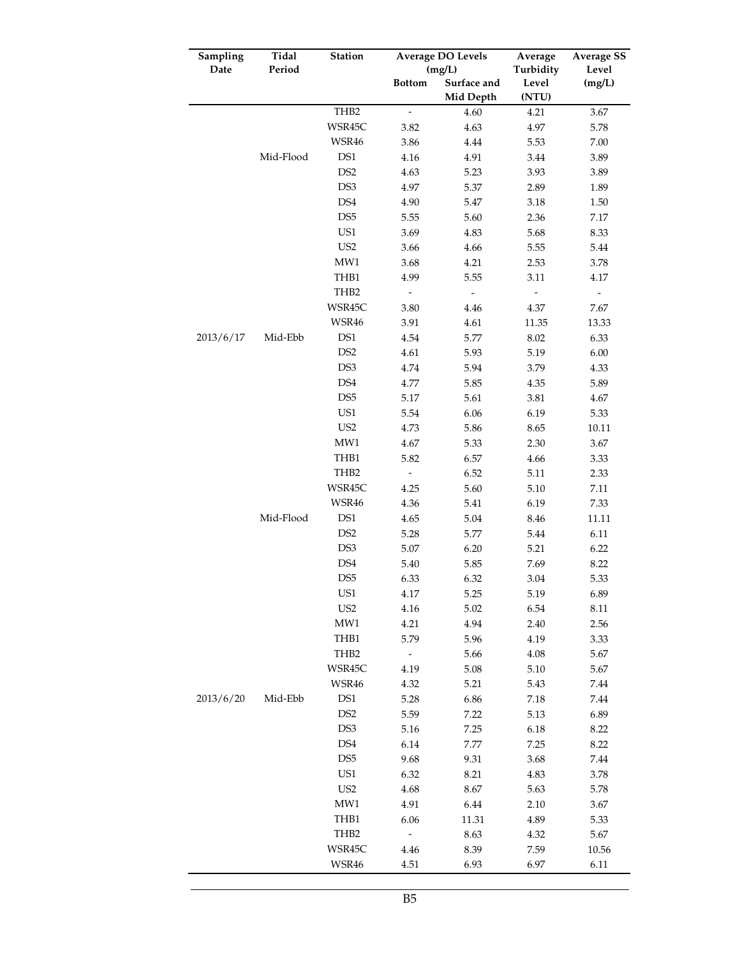| Sampling  | Tidal     | Station          | <b>Average DO Levels</b> |                          | Average        | <b>Average SS</b>        |
|-----------|-----------|------------------|--------------------------|--------------------------|----------------|--------------------------|
| Date      | Period    |                  |                          | (mg/L)                   | Turbidity      | Level                    |
|           |           |                  | <b>Bottom</b>            | Surface and<br>Mid Depth | Level<br>(NTU) | (mg/L)                   |
|           |           | THB2             | $\overline{a}$           | 4.60                     |                | 3.67                     |
|           |           | WSR45C           | 3.82                     | 4.63                     | 4.21<br>4.97   | 5.78                     |
|           |           | WSR46            | 3.86                     | 4.44                     | 5.53           | 7.00                     |
|           | Mid-Flood | DS1              | 4.16                     | 4.91                     | 3.44           | 3.89                     |
|           |           | DS <sub>2</sub>  | 4.63                     | 5.23                     | 3.93           | 3.89                     |
|           |           | DS3              | 4.97                     | 5.37                     | 2.89           | 1.89                     |
|           |           | DS4              | 4.90                     | 5.47                     | 3.18           | 1.50                     |
|           |           | DS <sub>5</sub>  | 5.55                     | 5.60                     | 2.36           | 7.17                     |
|           |           | US1              | 3.69                     | 4.83                     | 5.68           | 8.33                     |
|           |           | US <sub>2</sub>  | 3.66                     | 4.66                     | 5.55           | 5.44                     |
|           |           | MW1              | 3.68                     | 4.21                     | 2.53           | 3.78                     |
|           |           | THB1             | 4.99                     | 5.55                     | 3.11           | 4.17                     |
|           |           | THB <sub>2</sub> | $\overline{\phantom{0}}$ | $\overline{\phantom{a}}$ | $\frac{1}{2}$  | $\overline{\phantom{a}}$ |
|           |           | WSR45C           | 3.80                     | 4.46                     | 4.37           | 7.67                     |
|           |           | WSR46            | 3.91                     | 4.61                     | 11.35          | 13.33                    |
| 2013/6/17 | Mid-Ebb   | DS1              | 4.54                     | 5.77                     | 8.02           | 6.33                     |
|           |           | DS <sub>2</sub>  | 4.61                     | 5.93                     | 5.19           | 6.00                     |
|           |           | DS3              | 4.74                     | 5.94                     | 3.79           | 4.33                     |
|           |           | DS4              | 4.77                     | 5.85                     | 4.35           | 5.89                     |
|           |           | DS <sub>5</sub>  | 5.17                     | 5.61                     | 3.81           | 4.67                     |
|           |           | US1              | 5.54                     | 6.06                     | 6.19           | 5.33                     |
|           |           | US <sub>2</sub>  | 4.73                     | 5.86                     | 8.65           | 10.11                    |
|           |           | MW1              | 4.67                     | 5.33                     | 2.30           | 3.67                     |
|           |           | THB1             | 5.82                     | 6.57                     | 4.66           | 3.33                     |
|           |           | THB2             | $\overline{\phantom{a}}$ | 6.52                     | 5.11           | 2.33                     |
|           |           | WSR45C           | 4.25                     | 5.60                     | 5.10           | 7.11                     |
|           |           | WSR46            | 4.36                     | 5.41                     | 6.19           | 7.33                     |
|           | Mid-Flood | DS1              | 4.65                     | 5.04                     | 8.46           | 11.11                    |
|           |           | DS <sub>2</sub>  | 5.28                     | 5.77                     | 5.44           | 6.11                     |
|           |           | DS3              | 5.07                     | 6.20                     | 5.21           | 6.22                     |
|           |           | DS4              | 5.40                     | 5.85                     | 7.69           | 8.22                     |
|           |           | DS <sub>5</sub>  | 6.33                     | 6.32                     | 3.04           | 5.33                     |
|           |           | US1              | 4.17                     | 5.25                     | 5.19           | 6.89                     |
|           |           | US <sub>2</sub>  | 4.16                     | 5.02                     | 6.54           | 8.11                     |
|           |           | MW1              | 4.21                     | 4.94                     | 2.40           | 2.56                     |
|           |           | THB1             | 5.79                     | 5.96                     | 4.19           | 3.33                     |
|           |           | THB <sub>2</sub> | $\overline{\phantom{m}}$ | 5.66                     | 4.08           | 5.67                     |
|           |           | WSR45C           | 4.19                     | 5.08                     | 5.10           | 5.67                     |
|           |           | WSR46            | 4.32                     | 5.21                     | 5.43           | 7.44                     |
| 2013/6/20 | Mid-Ebb   | DS1              | 5.28                     | 6.86                     | $7.18\,$       | 7.44                     |
|           |           | DS <sub>2</sub>  | 5.59                     | 7.22                     | 5.13           | 6.89                     |
|           |           | DS3              | 5.16                     | 7.25                     | 6.18           | 8.22                     |
|           |           | DS4              | 6.14                     | 7.77                     | 7.25           | 8.22                     |
|           |           | DS <sub>5</sub>  | 9.68                     | 9.31                     | 3.68           | 7.44                     |
|           |           | US1              | 6.32                     | 8.21                     | 4.83           | 3.78                     |
|           |           | US <sub>2</sub>  | 4.68                     | $8.67\,$                 | 5.63           | 5.78                     |
|           |           | MW1              | 4.91                     | 6.44                     | 2.10           | 3.67                     |
|           |           | THB1             | 6.06                     | 11.31                    | 4.89           | 5.33                     |
|           |           | THB2             | $\overline{\phantom{a}}$ | 8.63                     | 4.32           | 5.67                     |
|           |           | WSR45C           | 4.46                     | 8.39                     | 7.59           | 10.56                    |
|           |           | WSR46            | 4.51                     | 6.93                     | 6.97           | 6.11                     |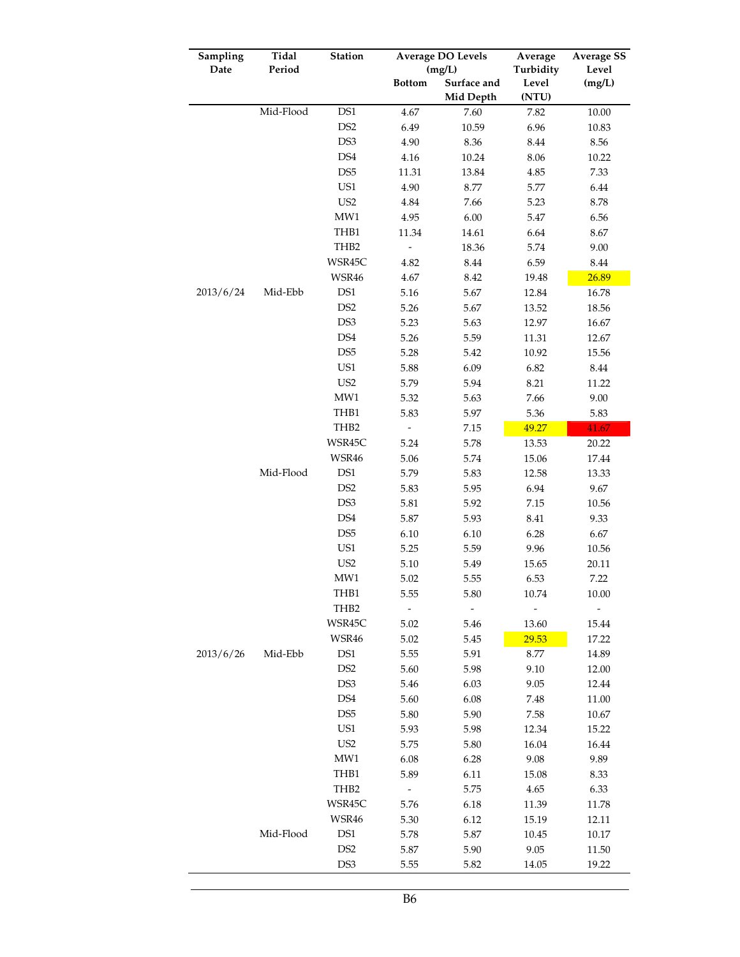| Sampling  | Tidal     | Station          | <b>Average DO Levels</b> |             | Average   | <b>Average SS</b> |
|-----------|-----------|------------------|--------------------------|-------------|-----------|-------------------|
| Date      | Period    |                  |                          | (mg/L)      | Turbidity | Level             |
|           |           |                  | <b>Bottom</b>            | Surface and | Level     | (mg/L)            |
|           |           |                  |                          | Mid Depth   | (NTU)     |                   |
|           | Mid-Flood | DS1              | 4.67                     | 7.60        | 7.82      | $10.00\,$         |
|           |           | DS <sub>2</sub>  | 6.49                     | 10.59       | 6.96      | 10.83             |
|           |           | DS3              | 4.90                     | 8.36        | 8.44      | 8.56              |
|           |           | DS4              | 4.16                     | 10.24       | 8.06      | 10.22             |
|           |           | DS <sub>5</sub>  | 11.31                    | 13.84       | 4.85      | 7.33              |
|           |           | US1              | 4.90                     | 8.77        | 5.77      | 6.44              |
|           |           | US <sub>2</sub>  | 4.84                     | 7.66        | 5.23      | 8.78              |
|           |           | MW1              | 4.95                     | 6.00        | 5.47      | 6.56              |
|           |           | THB1             | 11.34                    | 14.61       | 6.64      | 8.67              |
|           |           | THB2             | $\overline{\phantom{0}}$ | 18.36       | 5.74      | 9.00              |
|           |           | WSR45C           | 4.82                     | $8.44\,$    | 6.59      | 8.44              |
|           |           | WSR46            | 4.67                     | 8.42        | 19.48     | 26.89             |
| 2013/6/24 | Mid-Ebb   | DS1              | 5.16                     | 5.67        | 12.84     | 16.78             |
|           |           | DS <sub>2</sub>  | 5.26                     | 5.67        | 13.52     | 18.56             |
|           |           | DS3              | 5.23                     | 5.63        | 12.97     | 16.67             |
|           |           | DS4              | 5.26                     | 5.59        | 11.31     | 12.67             |
|           |           | DS <sub>5</sub>  | 5.28                     | 5.42        | 10.92     | 15.56             |
|           |           | US1              | 5.88                     | 6.09        | 6.82      | $8.44\,$          |
|           |           | US <sub>2</sub>  | 5.79                     | 5.94        | 8.21      | 11.22             |
|           |           | MW1              | 5.32                     | 5.63        | 7.66      | 9.00              |
|           |           | THB1             | 5.83                     | 5.97        | 5.36      | 5.83              |
|           |           | THB <sub>2</sub> |                          | 7.15        | 49.27     | 41.67             |
|           |           | WSR45C           | 5.24                     | 5.78        | 13.53     | 20.22             |
|           |           | WSR46            | 5.06                     | 5.74        | 15.06     | 17.44             |
|           | Mid-Flood | DS1              | 5.79                     | 5.83        | 12.58     | 13.33             |
|           |           | DS <sub>2</sub>  | 5.83                     | 5.95        | 6.94      | 9.67              |
|           |           | DS3              | 5.81                     | 5.92        | 7.15      | 10.56             |
|           |           | DS4              | 5.87                     | 5.93        | 8.41      | 9.33              |
|           |           | DS <sub>5</sub>  | 6.10                     | 6.10        | 6.28      | 6.67              |
|           |           | US1              | 5.25                     | 5.59        | 9.96      | 10.56             |
|           |           | US <sub>2</sub>  | 5.10                     | 5.49        | 15.65     | 20.11             |
|           |           | MW1              | 5.02                     | 5.55        | 6.53      | 7.22              |
|           |           | THB1             | 5.55                     | 5.80        | 10.74     | 10.00             |
|           |           | THB <sub>2</sub> |                          |             |           |                   |
|           |           | WSR45C           | 5.02                     | 5.46        | 13.60     | 15.44             |
|           |           | WSR46            | 5.02                     | 5.45        | 29.53     | 17.22             |
| 2013/6/26 | Mid-Ebb   | DS <sub>1</sub>  | 5.55                     | 5.91        | 8.77      | 14.89             |
|           |           | DS <sub>2</sub>  | 5.60                     | 5.98        | 9.10      | 12.00             |
|           |           | DS3              | 5.46                     | 6.03        | 9.05      | 12.44             |
|           |           | DS <sub>4</sub>  | 5.60                     | 6.08        | 7.48      | 11.00             |
|           |           | DS <sub>5</sub>  | 5.80                     | 5.90        | 7.58      | 10.67             |
|           |           | US1              | 5.93                     | 5.98        | 12.34     | 15.22             |
|           |           | US <sub>2</sub>  | 5.75                     | 5.80        | 16.04     | 16.44             |
|           |           | MW1              | 6.08                     | 6.28        | 9.08      | 9.89              |
|           |           | THB1             | 5.89                     | 6.11        | 15.08     | 8.33              |
|           |           | THB2             | $\overline{\phantom{a}}$ | 5.75        | 4.65      | 6.33              |
|           |           | WSR45C           | 5.76                     | 6.18        | 11.39     | 11.78             |
|           |           | WSR46            | 5.30                     | 6.12        | 15.19     | 12.11             |
|           | Mid-Flood | DS <sub>1</sub>  | 5.78                     | 5.87        | 10.45     | 10.17             |
|           |           | DS <sub>2</sub>  | 5.87                     | 5.90        | 9.05      | 11.50             |
|           |           | DS <sub>3</sub>  | 5.55                     | 5.82        | 14.05     | 19.22             |
|           |           |                  |                          |             |           |                   |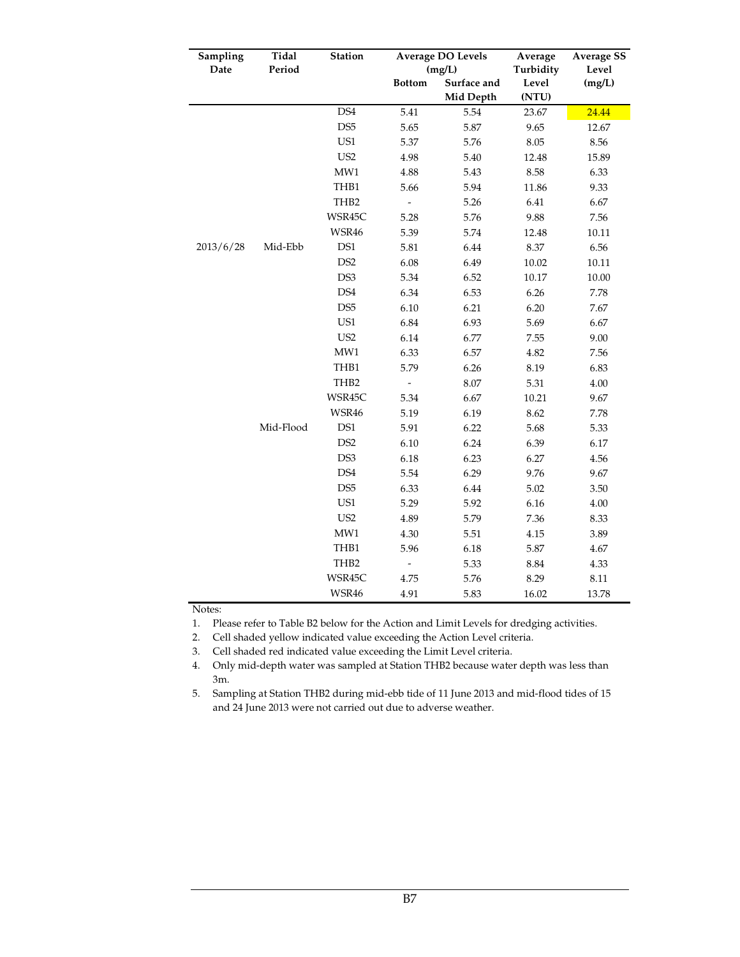| Sampling  | Tidal     | Station         | <b>Average DO Levels</b> |             | Average   | <b>Average SS</b> |
|-----------|-----------|-----------------|--------------------------|-------------|-----------|-------------------|
| Date      | Period    |                 |                          | (mg/L)      | Turbidity | Level             |
|           |           |                 | <b>Bottom</b>            | Surface and | Level     | (mg/L)            |
|           |           |                 |                          | Mid Depth   | (NTU)     |                   |
|           |           | DS4             | 5.41                     | 5.54        | 23.67     | 24.44             |
|           |           | DS <sub>5</sub> | 5.65                     | 5.87        | 9.65      | 12.67             |
|           |           | US1             | 5.37                     | 5.76        | 8.05      | 8.56              |
|           |           | US <sub>2</sub> | 4.98                     | 5.40        | 12.48     | 15.89             |
|           |           | MW1             | 4.88                     | 5.43        | 8.58      | 6.33              |
|           |           | THB1            | 5.66                     | 5.94        | 11.86     | 9.33              |
|           |           | THB2            | $\overline{\phantom{0}}$ | 5.26        | 6.41      | 6.67              |
|           |           | WSR45C          | 5.28                     | 5.76        | 9.88      | 7.56              |
|           |           | WSR46           | 5.39                     | 5.74        | 12.48     | 10.11             |
| 2013/6/28 | Mid-Ebb   | DS1             | 5.81                     | 6.44        | 8.37      | 6.56              |
|           |           | DS <sub>2</sub> | 6.08                     | 6.49        | 10.02     | 10.11             |
|           |           | DS3             | 5.34                     | 6.52        | 10.17     | 10.00             |
|           |           | DS4             | 6.34                     | 6.53        | 6.26      | 7.78              |
|           |           | DS <sub>5</sub> | 6.10                     | 6.21        | 6.20      | 7.67              |
|           |           | US1             | 6.84                     | 6.93        | 5.69      | 6.67              |
|           |           | US <sub>2</sub> | 6.14                     | 6.77        | 7.55      | 9.00              |
|           |           | MW1             | 6.33                     | 6.57        | 4.82      | 7.56              |
|           |           | THB1            | 5.79                     | 6.26        | 8.19      | 6.83              |
|           |           | THB2            | $\overline{\phantom{a}}$ | 8.07        | 5.31      | 4.00              |
|           |           | WSR45C          | 5.34                     | 6.67        | 10.21     | 9.67              |
|           |           | WSR46           | 5.19                     | 6.19        | 8.62      | 7.78              |
|           | Mid-Flood | DS1             | 5.91                     | 6.22        | 5.68      | 5.33              |
|           |           | DS <sub>2</sub> | 6.10                     | 6.24        | 6.39      | 6.17              |
|           |           | DS3             | 6.18                     | 6.23        | 6.27      | 4.56              |
|           |           | DS4             | 5.54                     | 6.29        | 9.76      | 9.67              |
|           |           | DS <sub>5</sub> | 6.33                     | 6.44        | 5.02      | 3.50              |
|           |           | US1             | 5.29                     | 5.92        | 6.16      | 4.00              |
|           |           | US <sub>2</sub> | 4.89                     | 5.79        | 7.36      | 8.33              |
|           |           | MW1             | 4.30                     | 5.51        | 4.15      | 3.89              |
|           |           | THB1            | 5.96                     | 6.18        | 5.87      | 4.67              |
|           |           | THB2            | $\overline{\phantom{a}}$ | 5.33        | 8.84      | 4.33              |
|           |           | WSR45C          | 4.75                     | 5.76        | 8.29      | 8.11              |
|           |           | WSR46           | 4.91                     | 5.83        | 16.02     | 13.78             |

Notes:

1. Please refer to Table B2 below for the Action and Limit Levels for dredging activities.

2. Cell shaded yellow indicated value exceeding the Action Level criteria.

3. Cell shaded red indicated value exceeding the Limit Level criteria.

4. Only mid-depth water was sampled at Station THB2 because water depth was less than 3m.

5. Sampling at Station THB2 during mid-ebb tide of 11 June 2013 and mid-flood tides of 15 and 24 June 2013 were not carried out due to adverse weather.